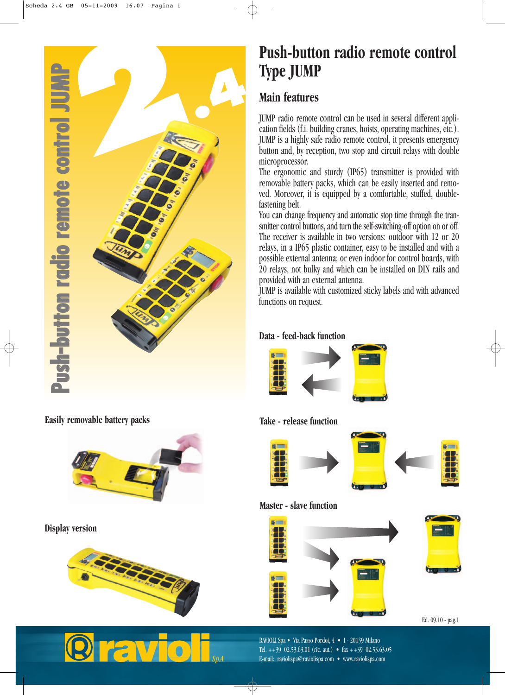

**Easily removable battery packs**



**Display version** 





# **Push-button radio remote control Type JUMP**

# **Main features**

JUMP radio remote control can be used in several different application fields (f.i. building cranes, hoists, operating machines, etc.). JUMP is a highly safe radio remote control, it presents emergency button and, by reception, two stop and circuit relays with double microprocessor.

The ergonomic and sturdy (IP65) transmitter is provided with removable battery packs, which can be easily inserted and removed. Moreover, it is equipped by a comfortable, stuffed, doublefastening belt.

You can change frequency and automatic stop time through the transmitter control buttons, and turn the self-switching-off option on or off. The receiver is available in two versions: outdoor with 12 or 20 relays, in a IP65 plastic container, easy to be installed and with a possible external antenna; or even indoor for control boards, with 20 relays, not bulky and which can be installed on DIN rails and provided with an external antenna.

JUMP is available with customized sticky labels and with advanced functions on request.

#### **Data - feed-back function**



#### **Take - release function**



#### **Master - slave function**



RAVIOLI Spa • Via Passo Pordoi, 4 • I - 20139 Milano Tel.  $++39$  02.53.63.01 (ric. aut.) • fax  $++39$  02.53.63.05 E-mail: raviolispa@raviolispa.com • www.raviolispa.com

Ed. 09.10 - pag.1